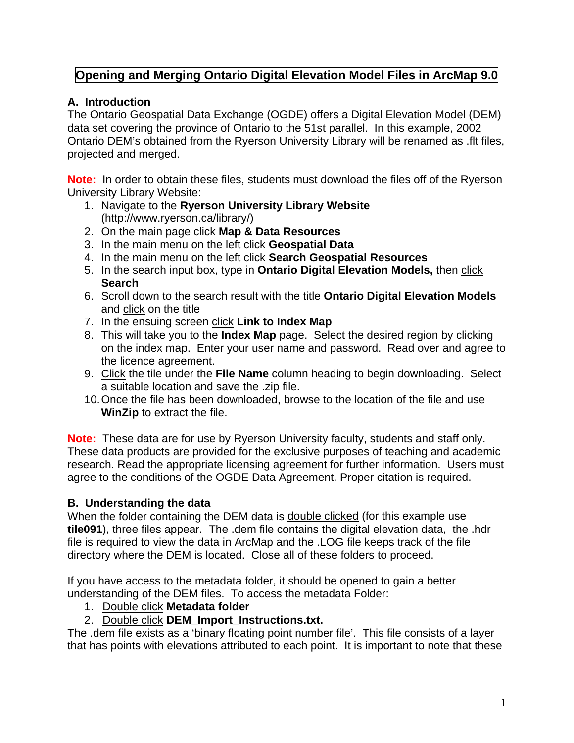## **Opening and Merging Ontario Digital Elevation Model Files in ArcMap 9.0**

### **A. Introduction**

The Ontario Geospatial Data Exchange (OGDE) offers a Digital Elevation Model (DEM) data set covering the province of Ontario to the 51st parallel. In this example, 2002 Ontario DEM's obtained from the Ryerson University Library will be renamed as .flt files, projected and merged.

**Note:** In order to obtain these files, students must download the files off of the Ryerson University Library Website:

- 1. Navigate to the **Ryerson University Library Website** (http://www.ryerson.ca/library/)
- 2. On the main page click **Map & Data Resources**
- 3. In the main menu on the left click **Geospatial Data**
- 4. In the main menu on the left click **Search Geospatial Resources**
- 5. In the search input box, type in **Ontario Digital Elevation Models,** then click **Search**
- 6. Scroll down to the search result with the title **Ontario Digital Elevation Models** and click on the title
- 7. In the ensuing screen click **Link to Index Map**
- 8. This will take you to the **Index Map** page. Select the desired region by clicking on the index map. Enter your user name and password. Read over and agree to the licence agreement.
- 9. Click the tile under the **File Name** column heading to begin downloading. Select a suitable location and save the .zip file.
- 10. Once the file has been downloaded, browse to the location of the file and use **WinZip** to extract the file.

**Note:** These data are for use by Ryerson University faculty, students and staff only. These data products are provided for the exclusive purposes of teaching and academic research. Read the appropriate licensing agreement for further information. Users must agree to the conditions of the OGDE Data Agreement. Proper citation is required.

## **B. Understanding the data**

When the folder containing the DEM data is double clicked (for this example use **tile091**), three files appear. The .dem file contains the digital elevation data, the .hdr file is required to view the data in ArcMap and the .LOG file keeps track of the file directory where the DEM is located. Close all of these folders to proceed.

If you have access to the metadata folder, it should be opened to gain a better understanding of the DEM files. To access the metadata Folder:

- 1. Double click **Metadata folder**
- 2. Double click **DEM\_Import\_Instructions.txt.**

The .dem file exists as a 'binary floating point number file'. This file consists of a layer that has points with elevations attributed to each point. It is important to note that these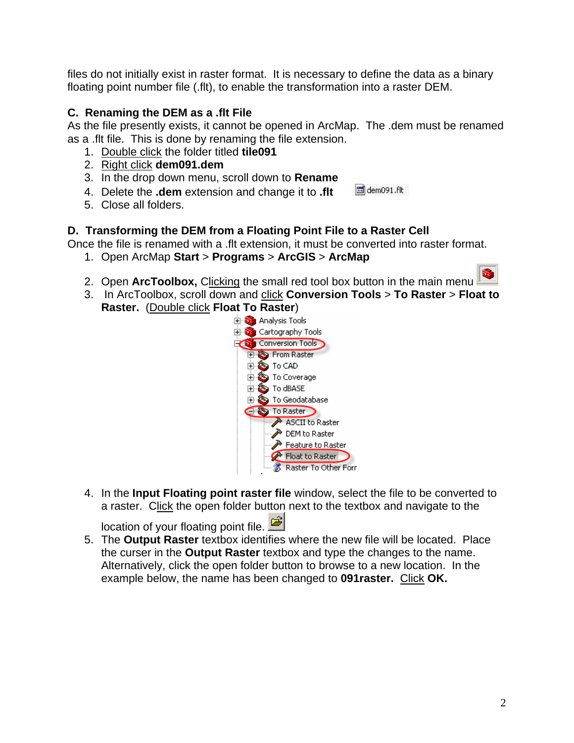files do not initially exist in raster format. It is necessary to define the data as a binary floating point number file (.flt), to enable the transformation into a raster DEM.

### **C. Renaming the DEM as a .flt File**

As the file presently exists, it cannot be opened in ArcMap. The .dem must be renamed as a .flt file. This is done by renaming the file extension.

- 1. Double click the folder titled **tile091**
- 2. Right click **dem091.dem**
- 3. In the drop down menu, scroll down to **Rename**
- 4. Delete the **.dem** extension and change it to **.flt**  dem091.flt
- 5. Close all folders.

**D. Transforming the DEM from a Floating Point File to a Raster Cell** 

- Once the file is renamed with a .flt extension, it must be converted into raster format.
	- 1. Open ArcMap **Start** > **Programs** > **ArcGIS** > **ArcMap**
	- 2. Open **ArcToolbox,** Clicking the small red tool box button in the main menu
	- 3. In ArcToolbox, scroll down and click **Conversion Tools** > **To Raster** > **Float to Raster.** (Double click **Float To Raster**)



4. In the **Input Floating point raster file** window, select the file to be converted to a raster. Click the open folder button next to the textbox and navigate to the

location of your floating point file.

5. The **Output Raster** textbox identifies where the new file will be located. Place the curser in the **Output Raster** textbox and type the changes to the name. Alternatively, click the open folder button to browse to a new location. In the example below, the name has been changed to **091raster.** Click **OK.**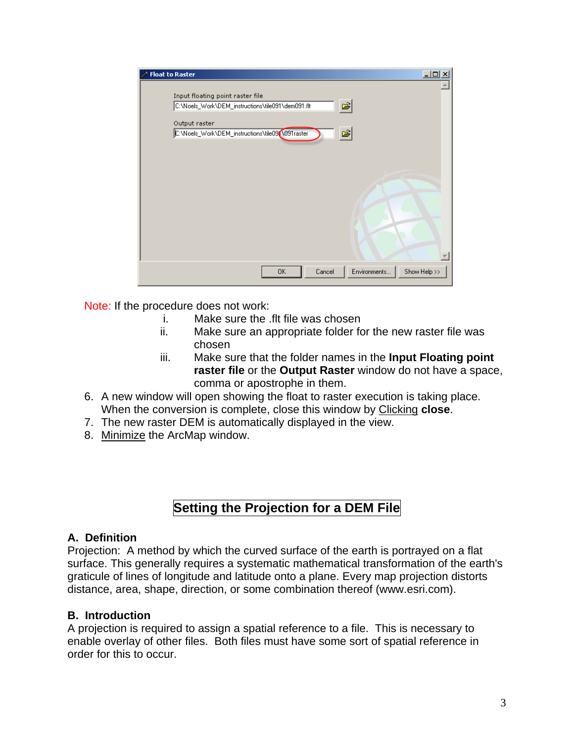| <b>Float to Raster</b>                                                                      | $\Box$ olx   |
|---------------------------------------------------------------------------------------------|--------------|
| Input floating point raster file<br>Ê<br>C:\Noels_Work\DEM_instructions\tile091\dem091.flt  |              |
| Output raster<br>$ \boldsymbol{\beta} $<br>C:\Noels_Work\DEM_instructions\tile09[\091raster |              |
|                                                                                             |              |
|                                                                                             |              |
|                                                                                             |              |
|                                                                                             |              |
| Environments<br>Cancel<br>0K                                                                | Show Help >> |

Note: If the procedure does not work:

- i. Make sure the .flt file was chosen
- ii. Make sure an appropriate folder for the new raster file was chosen
- iii. Make sure that the folder names in the **Input Floating point raster file** or the **Output Raster** window do not have a space, comma or apostrophe in them.
- 6. A new window will open showing the float to raster execution is taking place. When the conversion is complete, close this window by Clicking **close**.
- 7. The new raster DEM is automatically displayed in the view.
- 8. Minimize the ArcMap window.

# **Setting the Projection for a DEM File**

### **A. Definition**

Projection: A method by which the curved surface of the earth is portrayed on a flat surface. This generally requires a systematic mathematical transformation of the earth's graticule of lines of longitude and latitude onto a plane. Every map projection distorts distance, area, shape, direction, or some combination thereof (www.esri.com).

### **B. Introduction**

A projection is required to assign a spatial reference to a file. This is necessary to enable overlay of other files. Both files must have some sort of spatial reference in order for this to occur.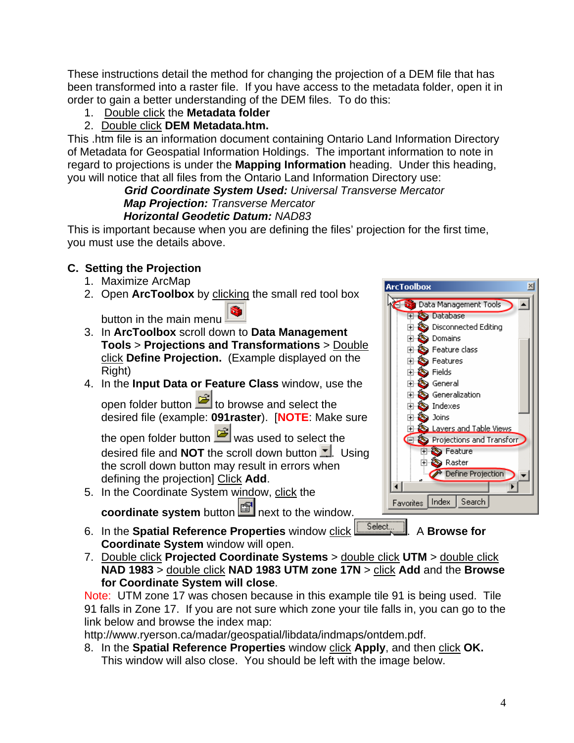These instructions detail the method for changing the projection of a DEM file that has been transformed into a raster file. If you have access to the metadata folder, open it in order to gain a better understanding of the DEM files. To do this:

1. Double click the **Metadata folder** 

## 2. Double click **DEM Metadata.htm.**

This .htm file is an information document containing Ontario Land Information Directory of Metadata for Geospatial Information Holdings. The important information to note in regard to projections is under the **Mapping Information** heading. Under this heading, you will notice that all files from the Ontario Land Information Directory use:

*Grid Coordinate System Used: Universal Transverse Mercator Map Projection: Transverse Mercator Horizontal Geodetic Datum: NAD83* 

This is important because when you are defining the files' projection for the first time, you must use the details above.

## **C. Setting the Projection**

- 1. Maximize ArcMap
- 2. Open **ArcToolbox** by clicking the small red tool box

button in the main menu.

- 3. In **ArcToolbox** scroll down to **Data Management Tools** > **Projections and Transformations** > Double click **Define Projection.** (Example displayed on the Right)
- 4. In the **Input Data or Feature Class** window, use the

open folder button  $\mathbf{E}$  to browse and select the desired file (example: **091raster**). [**NOTE**: Make sure

the open folder button  $\mathbb{E}$  was used to select the desired file and **NOT** the scroll down button **.** Using the scroll down button may result in errors when defining the projection] Click **Add**.

5. In the Coordinate System window, click the

**coordinate system** button **next to the window.** 

- 6. In the **Spatial Reference Properties** window click **Select 2.** A **Browse for Coordinate System** window will open.
- 7. Double click **Projected Coordinate Systems** > double click **UTM** > double click **NAD 1983** > double click **NAD 1983 UTM zone 17N** > click **Add** and the **Browse for Coordinate System will close**.

Note: UTM zone 17 was chosen because in this example tile 91 is being used. Tile 91 falls in Zone 17. If you are not sure which zone your tile falls in, you can go to the link below and browse the index map:

http://www.ryerson.ca/madar/geospatial/libdata/indmaps/ontdem.pdf.

8. In the **Spatial Reference Properties** window click **Apply**, and then click **OK.**  This window will also close. You should be left with the image below.

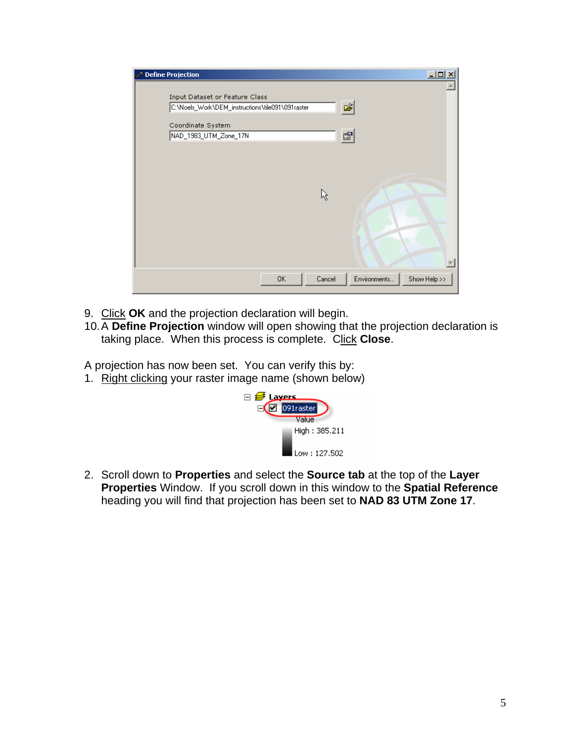| <b>Define Projection</b><br>2                    |              | $\Box$ ol                    |
|--------------------------------------------------|--------------|------------------------------|
|                                                  |              |                              |
| Input Dataset or Feature Class                   |              |                              |
| C:\Noels_Work\DEM_instructions\tile091\091raster |              | q                            |
| Coordinate System                                |              |                              |
| NAD_1983_UTM_Zone_17N                            |              | $\mathbb{F}$                 |
|                                                  |              |                              |
|                                                  |              |                              |
|                                                  |              |                              |
|                                                  |              |                              |
|                                                  | ß            |                              |
|                                                  |              |                              |
|                                                  |              |                              |
|                                                  |              |                              |
|                                                  |              |                              |
|                                                  |              |                              |
|                                                  |              |                              |
|                                                  |              |                              |
|                                                  | Cancel<br>0K | Environments<br>Show Help >> |
|                                                  |              |                              |

- 9. Click **OK** and the projection declaration will begin.
- 10. A **Define Projection** window will open showing that the projection declaration is taking place. When this process is complete. Click **Close**.

A projection has now been set. You can verify this by:

1. Right clicking your raster image name (shown below)



2. Scroll down to **Properties** and select the **Source tab** at the top of the **Layer Properties** Window. If you scroll down in this window to the **Spatial Reference** heading you will find that projection has been set to **NAD 83 UTM Zone 17**.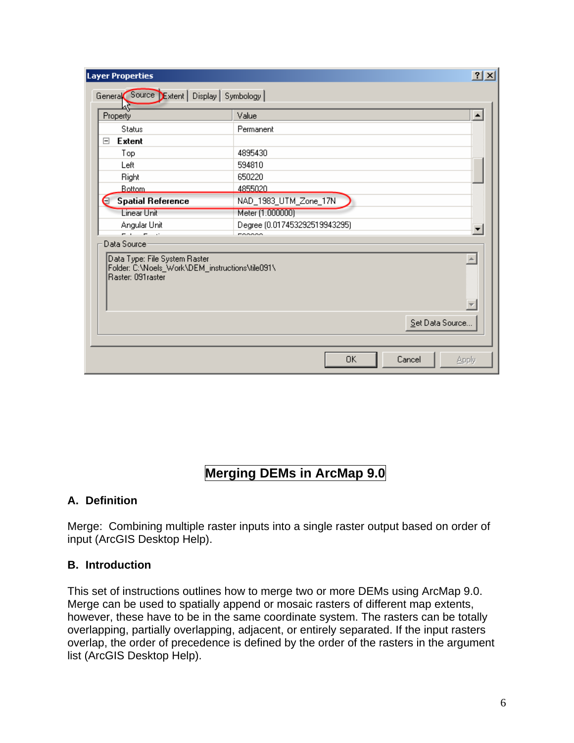| Property                                                                                               | Value                         |                 |  |  |  |  |  |  |
|--------------------------------------------------------------------------------------------------------|-------------------------------|-----------------|--|--|--|--|--|--|
| Status                                                                                                 | Permanent                     |                 |  |  |  |  |  |  |
| <b>Extent</b><br>$\boxminus$                                                                           |                               |                 |  |  |  |  |  |  |
| Top                                                                                                    | 4895430                       |                 |  |  |  |  |  |  |
| Left                                                                                                   | 594810                        |                 |  |  |  |  |  |  |
| Right                                                                                                  | 650220                        |                 |  |  |  |  |  |  |
| <b>Bottom</b>                                                                                          | 4855020                       |                 |  |  |  |  |  |  |
| <b>Spatial Reference</b>                                                                               | NAD_1983_UTM_Zone_17N         |                 |  |  |  |  |  |  |
| <b>Linear Unit</b>                                                                                     | Meter (1.000000)              |                 |  |  |  |  |  |  |
| Angular Unit                                                                                           | Degree (0.017453292519943295) |                 |  |  |  |  |  |  |
| المناسب والمناسب<br>Data Source-                                                                       | mooooo                        |                 |  |  |  |  |  |  |
| Data Type: File System Raster<br>Folder: C:\Noels_Work\DEM_instructions\tile091\<br>Raster: 091 raster |                               |                 |  |  |  |  |  |  |
|                                                                                                        |                               | Set Data Source |  |  |  |  |  |  |

# **Merging DEMs in ArcMap 9.0**

### **A. Definition**

Merge: Combining multiple raster inputs into a single raster output based on order of input (ArcGIS Desktop Help).

### **B. Introduction**

This set of instructions outlines how to merge two or more DEMs using ArcMap 9.0. Merge can be used to spatially append or mosaic rasters of different map extents, however, these have to be in the same coordinate system. The rasters can be totally overlapping, partially overlapping, adjacent, or entirely separated. If the input rasters overlap, the order of precedence is defined by the order of the rasters in the argument list (ArcGIS Desktop Help).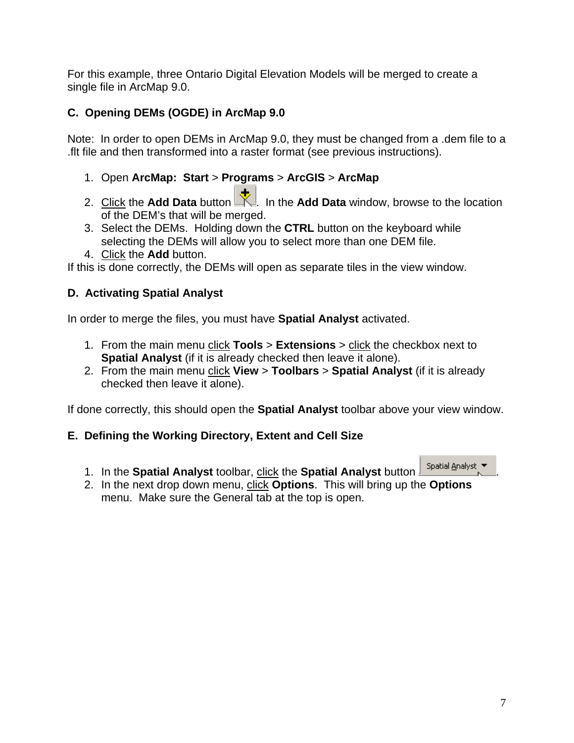For this example, three Ontario Digital Elevation Models will be merged to create a single file in ArcMap 9.0.

## **C. Opening DEMs (OGDE) in ArcMap 9.0**

Note: In order to open DEMs in ArcMap 9.0, they must be changed from a .dem file to a .flt file and then transformed into a raster format (see previous instructions).

- 1. Open **ArcMap: Start** > **Programs** > **ArcGIS** > **ArcMap**
- 2. Click the **Add Data** button **...** In the **Add Data** window, browse to the location of the DEM's that will be merged.
- 3. Select the DEMs. Holding down the **CTRL** button on the keyboard while selecting the DEMs will allow you to select more than one DEM file.
- 4. Click the **Add** button.

If this is done correctly, the DEMs will open as separate tiles in the view window.

## **D. Activating Spatial Analyst**

In order to merge the files, you must have **Spatial Analyst** activated.

- 1. From the main menu click **Tools** > **Extensions** > click the checkbox next to **Spatial Analyst** (if it is already checked then leave it alone).
- 2. From the main menu click **View** > **Toolbars** > **Spatial Analyst** (if it is already checked then leave it alone).

If done correctly, this should open the **Spatial Analyst** toolbar above your view window.

### **E. Defining the Working Directory, Extent and Cell Size**

1. In the **Spatial Analyst** toolbar, click the **Spatial Analyst** button .

2. In the next drop down menu, click **Options**. This will bring up the **Options** menu. Make sure the General tab at the top is open.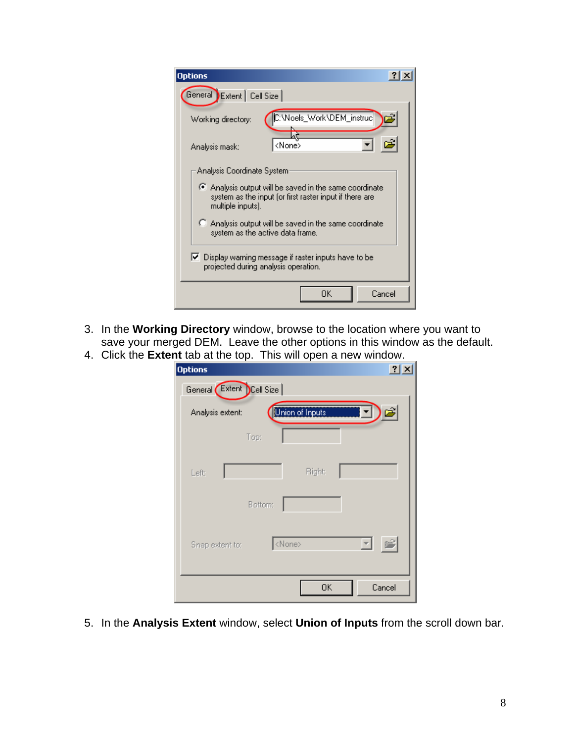| <b>Options</b>                                                                                                                       |  |  |  |  |  |  |
|--------------------------------------------------------------------------------------------------------------------------------------|--|--|--|--|--|--|
| General Extent   Cell Size                                                                                                           |  |  |  |  |  |  |
| C:\Noels_Work\DEM_instruc<br>Working directory:                                                                                      |  |  |  |  |  |  |
| <none><br/>Analysis mask:</none>                                                                                                     |  |  |  |  |  |  |
| Analysis Coordinate System:                                                                                                          |  |  |  |  |  |  |
| Analysis output will be saved in the same coordinate<br>system as the input (or first raster input if there are<br>multiple inputs). |  |  |  |  |  |  |
| C Analysis output will be saved in the same coordinate<br>system as the active data frame.                                           |  |  |  |  |  |  |
| $\blacktriangleright$ Display warning message if raster inputs have to be<br>projected during analysis operation.                    |  |  |  |  |  |  |
| OΚ<br>Cancel                                                                                                                         |  |  |  |  |  |  |

- 3. In the **Working Directory** window, browse to the location where you want to save your merged DEM. Leave the other options in this window as the default.
- 4. Click the **Extent** tab at the top. This will open a new window.

| <b>Options</b>                      | ?                       |
|-------------------------------------|-------------------------|
| General Extent Cell Size            |                         |
| Union of Inputs<br>Analysis extent: | <b>THE EXI</b><br>e     |
| Top:                                |                         |
| <b>Right:</b><br>Left:<br>Bottom:   |                         |
| <none><br/>Snap extent to:</none>   | $\overline{\mathbf{v}}$ |
| OK                                  | Cancel                  |

5. In the **Analysis Extent** window, select **Union of Inputs** from the scroll down bar.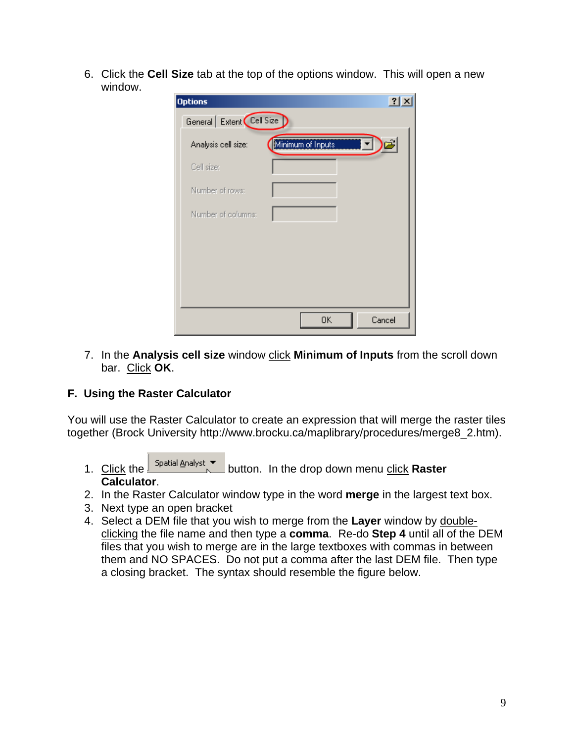6. Click the **Cell Size** tab at the top of the options window. This will open a new window.

| <b>Options</b>             |                   | ?                       |
|----------------------------|-------------------|-------------------------|
| General   Extent Cell Size |                   |                         |
| Analysis cell size:        | Minimum of Inputs | $\overline{\mathsf{F}}$ |
| Cell size:                 |                   |                         |
| Number of rows:            |                   |                         |
| Number of columns:         |                   |                         |
|                            |                   |                         |
|                            |                   |                         |
|                            |                   |                         |
|                            |                   |                         |
|                            | 0K                | Cancel                  |

7. In the **Analysis cell size** window click **Minimum of Inputs** from the scroll down bar. Click **OK**.

## **F. Using the Raster Calculator**

You will use the Raster Calculator to create an expression that will merge the raster tiles together (Brock University http://www.brocku.ca/maplibrary/procedures/merge8\_2.htm).

- 1. Click the **spatial Analyst vertet contains the drop down menu click Raster Calculator**.
- 2. In the Raster Calculator window type in the word **merge** in the largest text box.
- 3. Next type an open bracket
- 4. Select a DEM file that you wish to merge from the **Layer** window by doubleclicking the file name and then type a **comma**. Re-do **Step 4** until all of the DEM files that you wish to merge are in the large textboxes with commas in between them and NO SPACES. Do not put a comma after the last DEM file. Then type a closing bracket. The syntax should resemble the figure below.